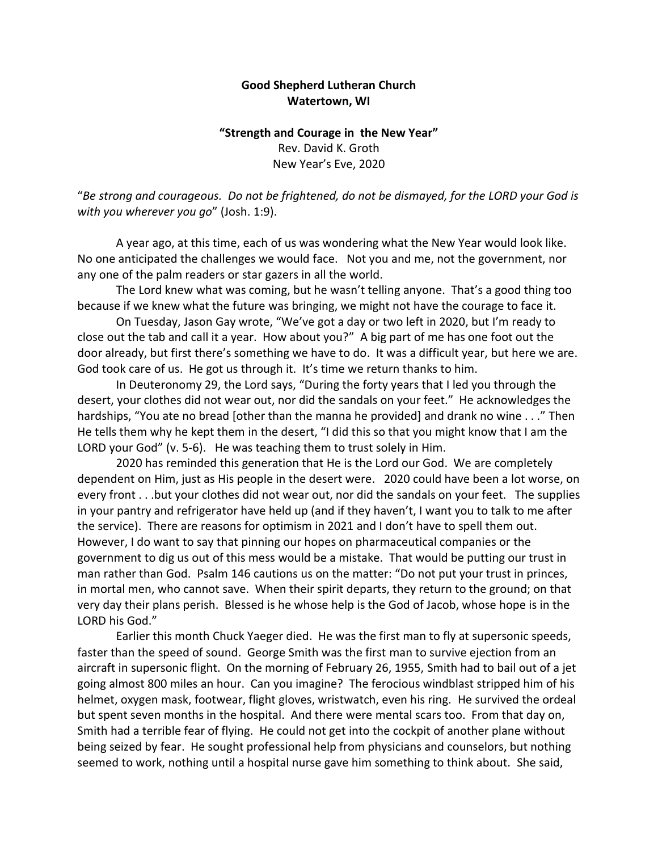## **Good Shepherd Lutheran Church Watertown, WI**

## **"Strength and Courage in the New Year"** Rev. David K. Groth New Year's Eve, 2020

"*Be strong and courageous. Do not be frightened, do not be dismayed, for the LORD your God is with you wherever you go*" (Josh. 1:9).

A year ago, at this time, each of us was wondering what the New Year would look like. No one anticipated the challenges we would face. Not you and me, not the government, nor any one of the palm readers or star gazers in all the world.

The Lord knew what was coming, but he wasn't telling anyone. That's a good thing too because if we knew what the future was bringing, we might not have the courage to face it.

On Tuesday, Jason Gay wrote, "We've got a day or two left in 2020, but I'm ready to close out the tab and call it a year. How about you?" A big part of me has one foot out the door already, but first there's something we have to do. It was a difficult year, but here we are. God took care of us. He got us through it. It's time we return thanks to him.

In Deuteronomy 29, the Lord says, "During the forty years that I led you through the desert, your clothes did not wear out, nor did the sandals on your feet." He acknowledges the hardships, "You ate no bread [other than the manna he provided] and drank no wine . . ." Then He tells them why he kept them in the desert, "I did this so that you might know that I am the LORD your God" (v. 5-6). He was teaching them to trust solely in Him.

2020 has reminded this generation that He is the Lord our God. We are completely dependent on Him, just as His people in the desert were. 2020 could have been a lot worse, on every front . . .but your clothes did not wear out, nor did the sandals on your feet. The supplies in your pantry and refrigerator have held up (and if they haven't, I want you to talk to me after the service). There are reasons for optimism in 2021 and I don't have to spell them out. However, I do want to say that pinning our hopes on pharmaceutical companies or the government to dig us out of this mess would be a mistake. That would be putting our trust in man rather than God. Psalm 146 cautions us on the matter: "Do not put your trust in princes, in mortal men, who cannot save. When their spirit departs, they return to the ground; on that very day their plans perish. Blessed is he whose help is the God of Jacob, whose hope is in the LORD his God."

Earlier this month Chuck Yaeger died. He was the first man to fly at supersonic speeds, faster than the speed of sound. George Smith was the first man to survive ejection from an aircraft in supersonic flight. On the morning of February 26, 1955, Smith had to bail out of a jet going almost 800 miles an hour. Can you imagine? The ferocious windblast stripped him of his helmet, oxygen mask, footwear, flight gloves, wristwatch, even his ring. He survived the ordeal but spent seven months in the hospital. And there were mental scars too. From that day on, Smith had a terrible fear of flying. He could not get into the cockpit of another plane without being seized by fear. He sought professional help from physicians and counselors, but nothing seemed to work, nothing until a hospital nurse gave him something to think about. She said,